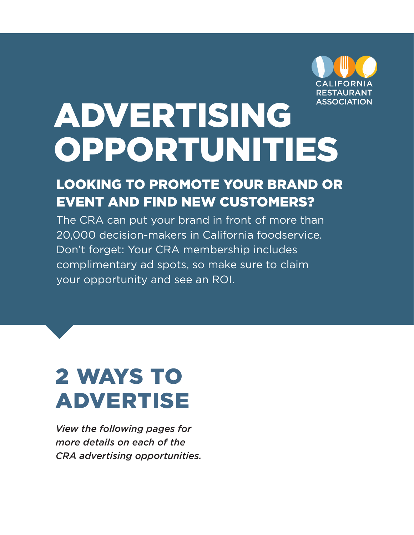

# ADVERTISING OPPORTUNITIES

### LOOKING TO PROMOTE YOUR BRAND OR EVENT AND FIND NEW CUSTOMERS?

The CRA can put your brand in front of more than 20,000 decision-makers in California foodservice. Don't forget: Your CRA membership includes complimentary ad spots, so make sure to claim your opportunity and see an ROI.

## 2 WAYS TO ADVERTISE

*View the following pages for more details on each of the CRA advertising opportunities.*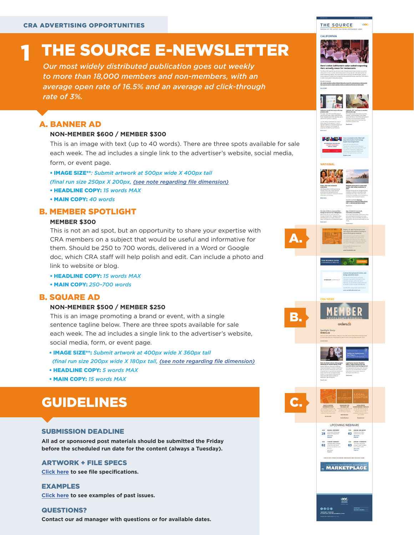## THE SOURCE E-NEWSLETTER

*Our most widely distributed publication goes out weekly to more than 18,000 members and non-members, with an average open rate of 16.5% and an average ad click-through rate of 3%.*

### A. BANNER AD

1

#### **NON-MEMBER \$600 / MEMBER \$300**

This is an image with text (up to 40 words). There are three spots available for sale each week. The ad includes a single link to the advertiser's website, social media, form, or event page.

• IMAGE SIZE\*\**: Submit artwork at 500px wide X 400px tall (final run size 250px X 200px, (see note regarding file dimension)*

- HEADLINE COPY: *15 words MAX*
- MAIN COPY: *40 words*

### B. MEMBER SPOTLIGHT

### **MEMBER \$300**

This is not an ad spot, but an opportunity to share your expertise with CRA members on a subject that would be useful and informative for them. Should be 250 to 700 words, delivered in a Word or Google doc, which CRA staff will help polish and edit. Can include a photo and link to website or blog.

- HEADLINE COPY: *15 words MAX*
- MAIN COPY: *250–700 words*

### B. SQUARE AD

#### **NON-MEMBER \$500 / MEMBER \$250**

This is an image promoting a brand or event, with a single sentence tagline below. There are three spots available for sale each week. The ad includes a single link to the advertiser's website, social media, form, or event page.

- IMAGE SIZE\*\*: *Submit artwork at 400px wide X 360px tall (final run size 200px wide X 180px tall, (see note regarding file dimension)*
- HEADLINE COPY: *5 words MAX*
- MAIN COPY: *15 words MAX*

### GUIDELINES

### SUBMISSION DEADLINE

**All ad or sponsored post materials should be submitted the Friday before the scheduled run date for the content (always a Tuesday).**

### ARTWORK + FILE SPECS

**Click here to see file specifications.**

**Click here to see examples of past issues.** EXAMPLES

**Contact our ad manager with questions or for available dates.** QUESTIONS?

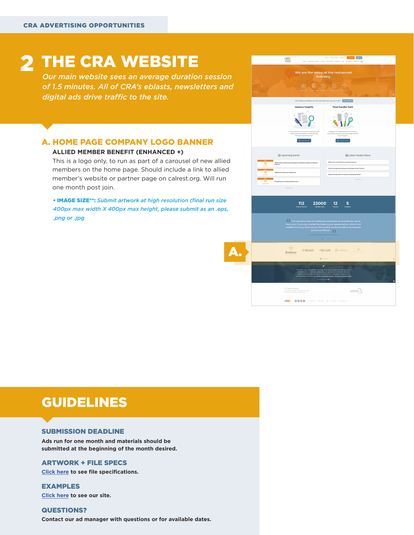## 2 THE CRA WEBSITE

*Our main website sees an average duration session of 1.5 minutes. All of CRA's eblasts, newsletters and digital ads drive traffic to the site.* 

### A. HOME PAGE COMPANY LOGO BANNER

#### **ALLIED MEMBER BENEFIT (ENHANCED +)**

This is a logo only, to run as part of a carousel of new allied members on the home page. Should include a link to allied member's website or partner page on calrest.org. Will run one month post join.

• IMAGE SIZE\*\*: *Submit artwork at high resolution (final run size 400px max width X 400px max height, please submit as an .eps, .png or .jpg*



### GUIDELINES

### SUBMISSION DEADLINE

**Ads run for one month and materials should be submitted at the beginning of the month desired.**

### ARTWORK + FILE SPECS

**Click here to see file specifications.**

**Click here to see our site.** EXAMPLES

**Contact our ad manager with questions or for available dates.** QUESTIONS?